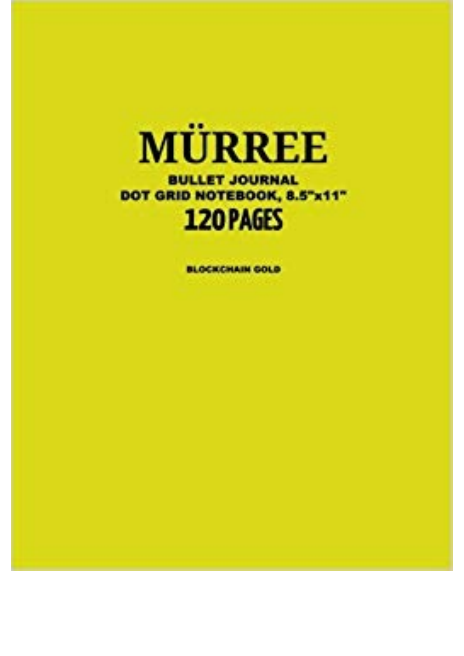

**BULLET JOURNAL** DOT GRID NOTEBOOK, 8.5"x11" 120 PAGES

**BLOCKCHAIN GOLD**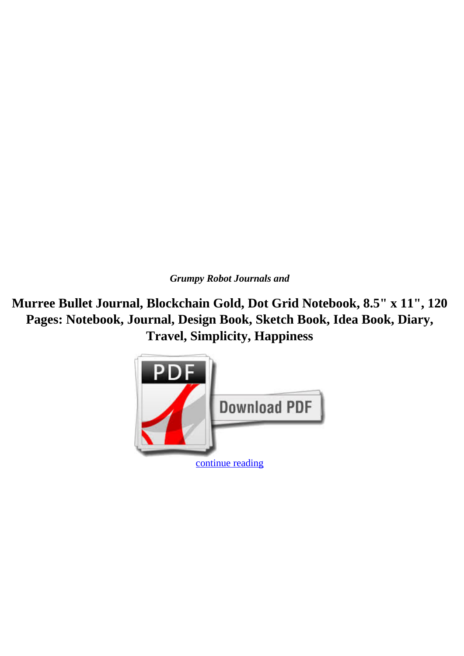*Grumpy Robot Journals and*

**Murree Bullet Journal, Blockchain Gold, Dot Grid Notebook, 8.5" x 11", 120 Pages: Notebook, Journal, Design Book, Sketch Book, Idea Book, Diary, Travel, Simplicity, Happiness**

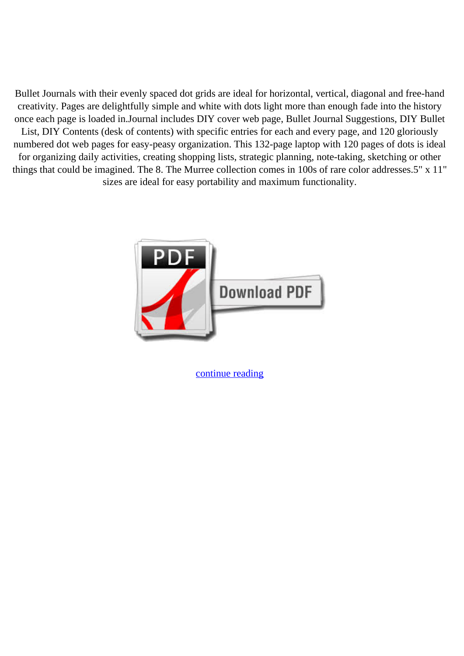Bullet Journals with their evenly spaced dot grids are ideal for horizontal, vertical, diagonal and free-hand creativity. Pages are delightfully simple and white with dots light more than enough fade into the history once each page is loaded in.Journal includes DIY cover web page, Bullet Journal Suggestions, DIY Bullet List, DIY Contents (desk of contents) with specific entries for each and every page, and 120 gloriously numbered dot web pages for easy-peasy organization. This 132-page laptop with 120 pages of dots is ideal for organizing daily activities, creating shopping lists, strategic planning, note-taking, sketching or other things that could be imagined. The 8. The Murree collection comes in 100s of rare color addresses.5" x 11" sizes are ideal for easy portability and maximum functionality.



[continue reading](http://bit.ly/2Tge8Fv)